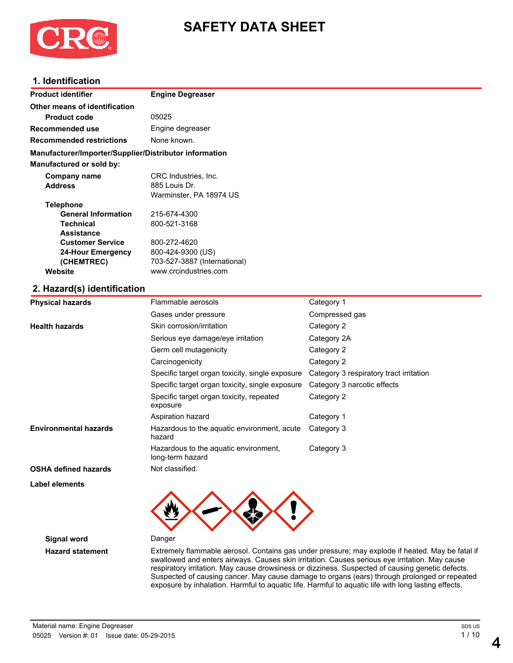

# **SAFETY DATA SHEET**

# **1. Identification**

| <b>Product identifier</b>                              | <b>Engine Degreaser</b>                  |            |  |
|--------------------------------------------------------|------------------------------------------|------------|--|
| Other means of identification                          |                                          |            |  |
| <b>Product code</b>                                    | 05025                                    |            |  |
| Recommended use                                        | Engine degreaser                         |            |  |
| <b>Recommended restrictions</b>                        | None known.                              |            |  |
| Manufacturer/Importer/Supplier/Distributor information |                                          |            |  |
| <b>Manufactured or sold by:</b>                        |                                          |            |  |
| Company name                                           | CRC Industries, Inc.                     |            |  |
| <b>Address</b>                                         | 885 Louis Dr.<br>Warminster, PA 18974 US |            |  |
| <b>Telephone</b>                                       |                                          |            |  |
| <b>General Information</b>                             | 215-674-4300                             |            |  |
| <b>Technical</b><br><b>Assistance</b>                  | 800-521-3168                             |            |  |
| <b>Customer Service</b>                                | 800-272-4620                             |            |  |
| <b>24-Hour Emergency</b>                               | 800-424-9300 (US)                        |            |  |
| (CHEMTREC)                                             | 703-527-3887 (International)             |            |  |
| Website                                                | www.crcindustries.com                    |            |  |
| 2. Hazard(s) identification                            |                                          |            |  |
| <b>Physical hazards</b>                                | Flammable aerosols                       | Category 1 |  |
|                                                        |                                          |            |  |

|                              | Gases under pressure                                      | Compressed gas                          |
|------------------------------|-----------------------------------------------------------|-----------------------------------------|
| <b>Health hazards</b>        | Skin corrosion/irritation                                 | Category 2                              |
|                              | Serious eye damage/eye irritation                         | Category 2A                             |
|                              | Germ cell mutagenicity                                    | Category 2                              |
|                              | Carcinogenicity                                           | Category 2                              |
|                              | Specific target organ toxicity, single exposure           | Category 3 respiratory tract irritation |
|                              | Specific target organ toxicity, single exposure           | Category 3 narcotic effects             |
|                              | Specific target organ toxicity, repeated<br>exposure      | Category 2                              |
|                              | Aspiration hazard                                         | Category 1                              |
| <b>Environmental hazards</b> | Hazardous to the aquatic environment, acute<br>hazard     | Category 3                              |
|                              | Hazardous to the aquatic environment,<br>long-term hazard | Category 3                              |
| <b>OSHA defined hazards</b>  | Not classified.                                           |                                         |
|                              |                                                           |                                         |

**Label elements**



**Signal word** Danger

**Hazard statement** Extremely flammable aerosol. Contains gas under pressure; may explode if heated. May be fatal if swallowed and enters airways. Causes skin irritation. Causes serious eye irritation. May cause respiratory irritation. May cause drowsiness or dizziness. Suspected of causing genetic defects. Suspected of causing cancer. May cause damage to organs (ears) through prolonged or repeated exposure by inhalation. Harmful to aquatic life. Harmful to aquatic life with long lasting effects.

**4**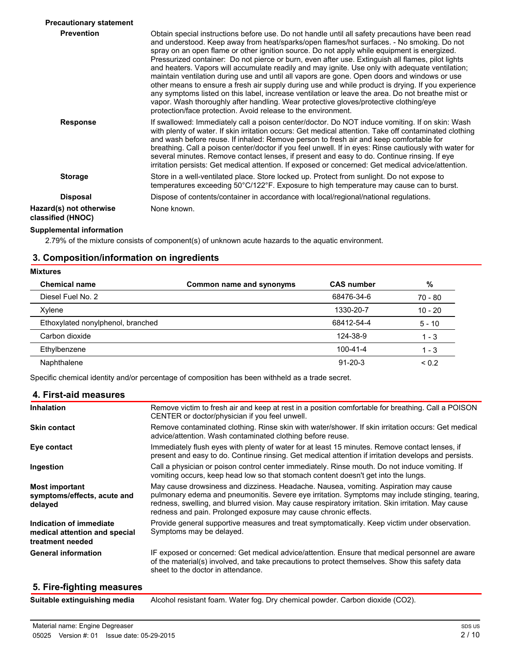| <b>Precautionary statement</b>               |                                                                                                                                                                                                                                                                                                                                                                                                                                                                                                                                                                                                                                                                                                                                                                                                                                                                                                                                                                            |
|----------------------------------------------|----------------------------------------------------------------------------------------------------------------------------------------------------------------------------------------------------------------------------------------------------------------------------------------------------------------------------------------------------------------------------------------------------------------------------------------------------------------------------------------------------------------------------------------------------------------------------------------------------------------------------------------------------------------------------------------------------------------------------------------------------------------------------------------------------------------------------------------------------------------------------------------------------------------------------------------------------------------------------|
| <b>Prevention</b>                            | Obtain special instructions before use. Do not handle until all safety precautions have been read<br>and understood. Keep away from heat/sparks/open flames/hot surfaces. - No smoking. Do not<br>spray on an open flame or other ignition source. Do not apply while equipment is energized.<br>Pressurized container: Do not pierce or burn, even after use. Extinguish all flames, pilot lights<br>and heaters. Vapors will accumulate readily and may ignite. Use only with adequate ventilation;<br>maintain ventilation during use and until all vapors are gone. Open doors and windows or use<br>other means to ensure a fresh air supply during use and while product is drying. If you experience<br>any symptoms listed on this label, increase ventilation or leave the area. Do not breathe mist or<br>vapor. Wash thoroughly after handling. Wear protective gloves/protective clothing/eye<br>protection/face protection. Avoid release to the environment. |
| <b>Response</b>                              | If swallowed: Immediately call a poison center/doctor. Do NOT induce vomiting. If on skin: Wash<br>with plenty of water. If skin irritation occurs: Get medical attention. Take off contaminated clothing<br>and wash before reuse. If inhaled: Remove person to fresh air and keep comfortable for<br>breathing. Call a poison center/doctor if you feel unwell. If in eyes: Rinse cautiously with water for<br>several minutes. Remove contact lenses, if present and easy to do. Continue rinsing. If eye<br>irritation persists: Get medical attention. If exposed or concerned: Get medical advice/attention.                                                                                                                                                                                                                                                                                                                                                         |
| <b>Storage</b>                               | Store in a well-ventilated place. Store locked up. Protect from sunlight. Do not expose to<br>temperatures exceeding 50°C/122°F. Exposure to high temperature may cause can to burst.                                                                                                                                                                                                                                                                                                                                                                                                                                                                                                                                                                                                                                                                                                                                                                                      |
| <b>Disposal</b>                              | Dispose of contents/container in accordance with local/regional/national regulations.                                                                                                                                                                                                                                                                                                                                                                                                                                                                                                                                                                                                                                                                                                                                                                                                                                                                                      |
| Hazard(s) not otherwise<br>classified (HNOC) | None known.                                                                                                                                                                                                                                                                                                                                                                                                                                                                                                                                                                                                                                                                                                                                                                                                                                                                                                                                                                |

# **Supplemental information**

2.79% of the mixture consists of component(s) of unknown acute hazards to the aquatic environment.

# **3. Composition/information on ingredients**

| <b>Mixtures</b>                   |                          |                   |            |
|-----------------------------------|--------------------------|-------------------|------------|
| <b>Chemical name</b>              | Common name and synonyms | <b>CAS number</b> | %          |
| Diesel Fuel No. 2                 |                          | 68476-34-6        | $70 - 80$  |
| Xylene                            |                          | 1330-20-7         | $10 - 20$  |
| Ethoxylated nonylphenol, branched |                          | 68412-54-4        | $5 - 10$   |
| Carbon dioxide                    |                          | 124-38-9          | $1 - 3$    |
| Ethylbenzene                      |                          | 100-41-4          | $1 - 3$    |
| Naphthalene                       |                          | $91 - 20 - 3$     | ${}_{0.2}$ |

Specific chemical identity and/or percentage of composition has been withheld as a trade secret.

#### **4. First-aid measures**

| <b>Inhalation</b>                                                            | Remove victim to fresh air and keep at rest in a position comfortable for breathing. Call a POISON<br>CENTER or doctor/physician if you feel unwell.                                                                                                                                                                                                              |
|------------------------------------------------------------------------------|-------------------------------------------------------------------------------------------------------------------------------------------------------------------------------------------------------------------------------------------------------------------------------------------------------------------------------------------------------------------|
| <b>Skin contact</b>                                                          | Remove contaminated clothing. Rinse skin with water/shower. If skin irritation occurs: Get medical<br>advice/attention. Wash contaminated clothing before reuse.                                                                                                                                                                                                  |
| Eye contact                                                                  | Immediately flush eyes with plenty of water for at least 15 minutes. Remove contact lenses, if<br>present and easy to do. Continue rinsing. Get medical attention if irritation develops and persists.                                                                                                                                                            |
| Ingestion                                                                    | Call a physician or poison control center immediately. Rinse mouth. Do not induce vomiting. If<br>vomiting occurs, keep head low so that stomach content doesn't get into the lungs.                                                                                                                                                                              |
| <b>Most important</b><br>symptoms/effects, acute and<br>delayed              | May cause drowsiness and dizziness. Headache. Nausea, vomiting. Aspiration may cause<br>pulmonary edema and pneumonitis. Severe eye irritation. Symptoms may include stinging, tearing,<br>redness, swelling, and blurred vision. May cause respiratory irritation. Skin irritation. May cause<br>redness and pain. Prolonged exposure may cause chronic effects. |
| Indication of immediate<br>medical attention and special<br>treatment needed | Provide general supportive measures and treat symptomatically. Keep victim under observation.<br>Symptoms may be delayed.                                                                                                                                                                                                                                         |
| <b>General information</b>                                                   | IF exposed or concerned: Get medical advice/attention. Ensure that medical personnel are aware<br>of the material(s) involved, and take precautions to protect themselves. Show this safety data<br>sheet to the doctor in attendance.                                                                                                                            |

# **5. Fire-fighting measures**

| Suitable extinguishing media |  |  |  |  |  |
|------------------------------|--|--|--|--|--|
|------------------------------|--|--|--|--|--|

Alcohol resistant foam. Water fog. Dry chemical powder. Carbon dioxide (CO2).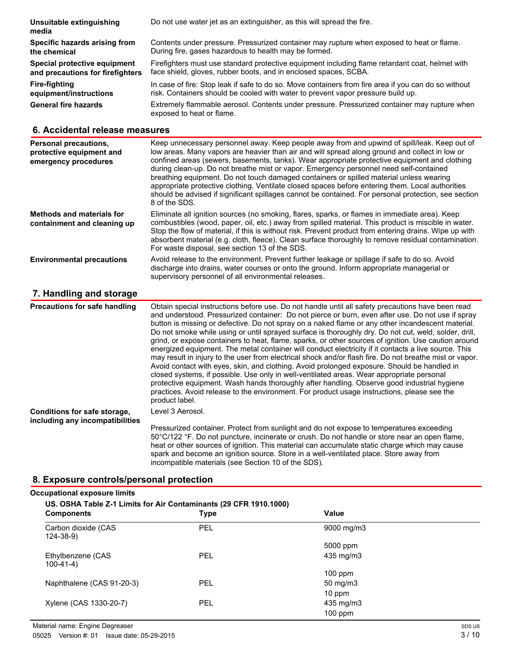| Do not use water jet as an extinguisher, as this will spread the fire.                                                                                                                   |
|------------------------------------------------------------------------------------------------------------------------------------------------------------------------------------------|
| Contents under pressure. Pressurized container may rupture when exposed to heat or flame.<br>During fire, gases hazardous to health may be formed.                                       |
| Firefighters must use standard protective equipment including flame retardant coat, helmet with<br>face shield, gloves, rubber boots, and in enclosed spaces, SCBA.                      |
| In case of fire: Stop leak if safe to do so. Move containers from fire area if you can do so without<br>risk. Containers should be cooled with water to prevent vapor pressure build up. |
| Extremely flammable aerosol. Contents under pressure. Pressurized container may rupture when<br>exposed to heat or flame.                                                                |
|                                                                                                                                                                                          |

# **6. Accidental release measures**

| Personal precautions,<br>protective equipment and<br>emergency procedures | Keep unnecessary personnel away. Keep people away from and upwind of spill/leak. Keep out of<br>low areas. Many vapors are heavier than air and will spread along ground and collect in low or<br>confined areas (sewers, basements, tanks). Wear appropriate protective equipment and clothing<br>during clean-up. Do not breathe mist or vapor. Emergency personnel need self-contained<br>breathing equipment. Do not touch damaged containers or spilled material unless wearing<br>appropriate protective clothing. Ventilate closed spaces before entering them. Local authorities<br>should be advised if significant spillages cannot be contained. For personal protection, see section<br>8 of the SDS. |
|---------------------------------------------------------------------------|-------------------------------------------------------------------------------------------------------------------------------------------------------------------------------------------------------------------------------------------------------------------------------------------------------------------------------------------------------------------------------------------------------------------------------------------------------------------------------------------------------------------------------------------------------------------------------------------------------------------------------------------------------------------------------------------------------------------|
| <b>Methods and materials for</b><br>containment and cleaning up           | Eliminate all ignition sources (no smoking, flares, sparks, or flames in immediate area). Keep<br>combustibles (wood, paper, oil, etc.) away from spilled material. This product is miscible in water.<br>Stop the flow of material, if this is without risk. Prevent product from entering drains. Wipe up with<br>absorbent material (e.g. cloth, fleece). Clean surface thoroughly to remove residual contamination.<br>For waste disposal, see section 13 of the SDS.                                                                                                                                                                                                                                         |
| <b>Environmental precautions</b>                                          | Avoid release to the environment. Prevent further leakage or spillage if safe to do so. Avoid<br>discharge into drains, water courses or onto the ground. Inform appropriate managerial or<br>supervisory personnel of all environmental releases.                                                                                                                                                                                                                                                                                                                                                                                                                                                                |
| 7. Handling and storage                                                   |                                                                                                                                                                                                                                                                                                                                                                                                                                                                                                                                                                                                                                                                                                                   |
| <b>Precautions for safe handling</b>                                      | Obtain special instructions before use. Do not handle until all safety precautions have been read                                                                                                                                                                                                                                                                                                                                                                                                                                                                                                                                                                                                                 |

and understood. Pressurized container: Do not pierce or burn, even after use. Do not use if spray button is missing or defective. Do not spray on a naked flame or any other incandescent material. Do not smoke while using or until sprayed surface is thoroughly dry. Do not cut, weld, solder, drill, grind, or expose containers to heat, flame, sparks, or other sources of ignition. Use caution around energized equipment. The metal container will conduct electricity if it contacts a live source. This may result in injury to the user from electrical shock and/or flash fire. Do not breathe mist or vapor. Avoid contact with eyes, skin, and clothing. Avoid prolonged exposure. Should be handled in closed systems, if possible. Use only in well-ventilated areas. Wear appropriate personal protective equipment. Wash hands thoroughly after handling. Observe good industrial hygiene practices. Avoid release to the environment. For product usage instructions, please see the product label. Level 3 Aerosol. Pressurized container. Protect from sunlight and do not expose to temperatures exceeding 50°C/122 °F. Do not puncture, incinerate or crush. Do not handle or store near an open flame, heat or other sources of ignition. This material can accumulate static charge which may cause **Conditions for safe storage, including any incompatibilities**

incompatible materials (see Section 10 of the SDS).

spark and become an ignition source. Store in a well-ventilated place. Store away from

# **8. Exposure controls/personal protection**

# **Occupational exposure limits US. OSHA Table Z-1 Limits for Air Contaminants (29 CFR 1910.1000) Components Type Value** Carbon dioxide (CAS PEL 9000 mg/m3 124-38-9) 5000 ppm Ethylbenzene (CAS PEL 435 mg/m3 100-41-4) 100 ppm Naphthalene (CAS 91-20-3) PEL 50 mg/m3 10 ppm Xylene (CAS 1330-20-7) PEL 435 mg/m3 100 ppm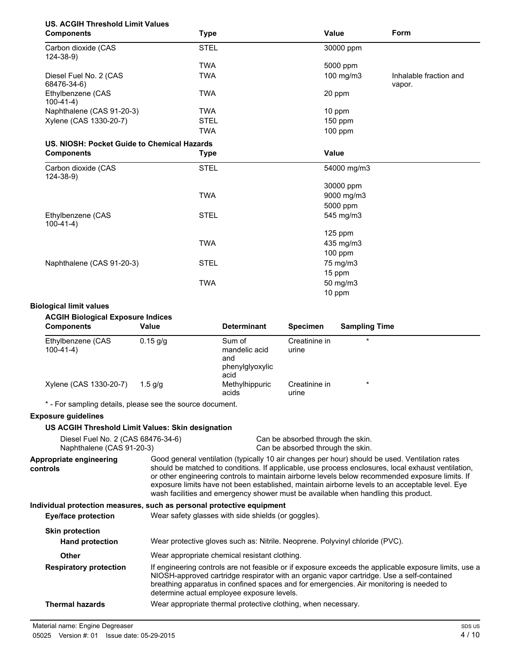# **US. ACGIH Threshold Limit Values**

| <b>Components</b>                           | <b>Type</b> | Value       | Form                             |
|---------------------------------------------|-------------|-------------|----------------------------------|
| Carbon dioxide (CAS<br>124-38-9)            | <b>STEL</b> | 30000 ppm   |                                  |
|                                             | <b>TWA</b>  | 5000 ppm    |                                  |
| Diesel Fuel No. 2 (CAS<br>68476-34-6)       | <b>TWA</b>  | 100 mg/m3   | Inhalable fraction and<br>vapor. |
| Ethylbenzene (CAS<br>$100-41-4)$            | <b>TWA</b>  | 20 ppm      |                                  |
| Naphthalene (CAS 91-20-3)                   | <b>TWA</b>  | 10 ppm      |                                  |
| Xylene (CAS 1330-20-7)                      | <b>STEL</b> | $150$ ppm   |                                  |
|                                             | <b>TWA</b>  | 100 ppm     |                                  |
| US. NIOSH: Pocket Guide to Chemical Hazards |             |             |                                  |
| <b>Components</b>                           | <b>Type</b> | Value       |                                  |
| Carbon dioxide (CAS<br>$124 - 38 - 9$       | <b>STEL</b> | 54000 mg/m3 |                                  |
|                                             |             | 30000 ppm   |                                  |
|                                             | <b>TWA</b>  | 9000 mg/m3  |                                  |
|                                             |             | 5000 ppm    |                                  |
| Ethylbenzene (CAS<br>$100-41-4)$            | <b>STEL</b> | 545 mg/m3   |                                  |
|                                             |             | $125$ ppm   |                                  |
|                                             | <b>TWA</b>  | 435 mg/m3   |                                  |
|                                             |             | 100 ppm     |                                  |
| Naphthalene (CAS 91-20-3)                   | <b>STEL</b> | 75 mg/m3    |                                  |
|                                             |             | 15 ppm      |                                  |
|                                             | <b>TWA</b>  | 50 mg/m3    |                                  |
|                                             |             | 10 ppm      |                                  |

#### **Biological limit values**

#### **ACGIH Biological Exposure Indices**

| <b>Components</b>                | Value      | <b>Determinant</b>                                        | <b>Specimen</b>        | <b>Sampling Time</b> |
|----------------------------------|------------|-----------------------------------------------------------|------------------------|----------------------|
| Ethylbenzene (CAS<br>$100-41-4)$ | $0.15$ g/g | Sum of<br>mandelic acid<br>and<br>phenylglyoxylic<br>acid | Creatinine in<br>urine | $\star$              |
| Xylene (CAS 1330-20-7)           | $1.5$ a/a  | Methylhippuric<br>acids                                   | Creatinine in<br>urine | $\star$              |

\* - For sampling details, please see the source document.

# **Exposure guidelines**

#### **US ACGIH Threshold Limit Values: Skin designation**

| Diesel Fuel No. 2 (CAS 68476-34-6) |  | Can be absorbed through the skin.                                              |
|------------------------------------|--|--------------------------------------------------------------------------------|
| Naphthalene (CAS 91-20-3)          |  | Can be absorbed through the skin.                                              |
|                                    |  | Cood general ventilation (typically 10 oir obenase nor bough abouted be used.) |

Good general ventilation (typically 10 air changes per hour) should be used. Ventilation rates should be matched to conditions. If applicable, use process enclosures, local exhaust ventilation, or other engineering controls to maintain airborne levels below recommended exposure limits. If exposure limits have not been established, maintain airborne levels to an acceptable level. Eye wash facilities and emergency shower must be available when handling this product. **Appropriate engineering controls**

#### **Individual protection measures, such as personal protective equipment**

| Eye/face protection                              | Wear safety glasses with side shields (or goggles).                                                                                                                                                                                                                                                                                         |  |  |
|--------------------------------------------------|---------------------------------------------------------------------------------------------------------------------------------------------------------------------------------------------------------------------------------------------------------------------------------------------------------------------------------------------|--|--|
| <b>Skin protection</b><br><b>Hand protection</b> | Wear protective gloves such as: Nitrile. Neoprene. Polyvinyl chloride (PVC).                                                                                                                                                                                                                                                                |  |  |
| <b>Other</b>                                     | Wear appropriate chemical resistant clothing.                                                                                                                                                                                                                                                                                               |  |  |
| <b>Respiratory protection</b>                    | If engineering controls are not feasible or if exposure exceeds the applicable exposure limits, use a<br>NIOSH-approved cartridge respirator with an organic vapor cartridge. Use a self-contained<br>breathing apparatus in confined spaces and for emergencies. Air monitoring is needed to<br>determine actual employee exposure levels. |  |  |
| Thermal hazards                                  | Wear appropriate thermal protective clothing, when necessary.                                                                                                                                                                                                                                                                               |  |  |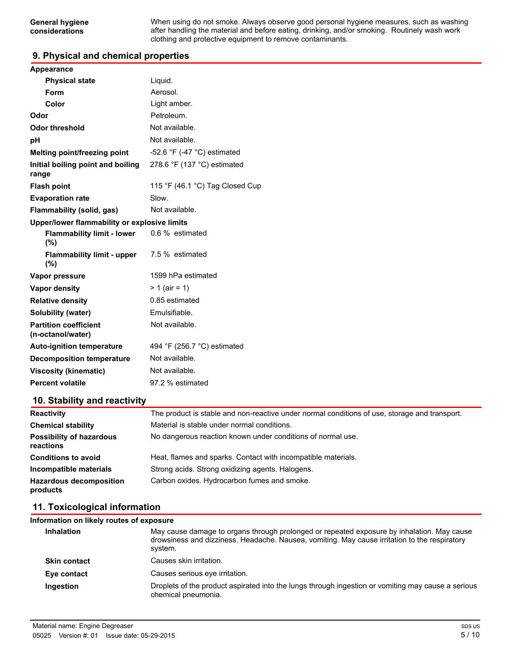When using do not smoke. Always observe good personal hygiene measures, such as washing after handling the material and before eating, drinking, and/or smoking. Routinely wash work clothing and protective equipment to remove contaminants.

# **9. Physical and chemical properties**

| Appearance                                        |                                 |  |
|---------------------------------------------------|---------------------------------|--|
| <b>Physical state</b>                             | Liquid.                         |  |
| Form                                              | Aerosol.                        |  |
| Color                                             | Light amber.                    |  |
| Odor                                              | Petroleum.                      |  |
| <b>Odor threshold</b>                             | Not available.                  |  |
| рH                                                | Not available.                  |  |
| Melting point/freezing point                      | -52.6 °F (-47 °C) estimated     |  |
| Initial boiling point and boiling<br>range        | 278.6 °F (137 °C) estimated     |  |
| <b>Flash point</b>                                | 115 °F (46.1 °C) Tag Closed Cup |  |
| <b>Evaporation rate</b>                           | Slow.                           |  |
| Flammability (solid, gas)                         | Not available.                  |  |
| Upper/lower flammability or explosive limits      |                                 |  |
| <b>Flammability limit - lower</b><br>(%)          | 0.6 % estimated                 |  |
| <b>Flammability limit - upper</b><br>(%)          | 7.5 % estimated                 |  |
| Vapor pressure                                    | 1599 hPa estimated              |  |
| <b>Vapor density</b>                              | $> 1$ (air = 1)                 |  |
| <b>Relative density</b>                           | 0.85 estimated                  |  |
| Solubility (water)                                | Emulsifiable.                   |  |
| <b>Partition coefficient</b><br>(n-octanol/water) | Not available.                  |  |
| <b>Auto-ignition temperature</b>                  | 494 °F (256.7 °C) estimated     |  |
| <b>Decomposition temperature</b>                  | Not available.                  |  |
| <b>Viscosity (kinematic)</b>                      | Not available.                  |  |
| <b>Percent volatile</b>                           | 97.2 % estimated                |  |
|                                                   |                                 |  |

# **10. Stability and reactivity**

| <b>Reactivity</b>                            | The product is stable and non-reactive under normal conditions of use, storage and transport. |
|----------------------------------------------|-----------------------------------------------------------------------------------------------|
| <b>Chemical stability</b>                    | Material is stable under normal conditions.                                                   |
| <b>Possibility of hazardous</b><br>reactions | No dangerous reaction known under conditions of normal use.                                   |
| <b>Conditions to avoid</b>                   | Heat, flames and sparks. Contact with incompatible materials.                                 |
| Incompatible materials                       | Strong acids. Strong oxidizing agents. Halogens.                                              |
| <b>Hazardous decomposition</b><br>products   | Carbon oxides. Hydrocarbon fumes and smoke.                                                   |

# **11. Toxicological information**

| Information on likely routes of exposure |                                                                                                                                                                                                        |
|------------------------------------------|--------------------------------------------------------------------------------------------------------------------------------------------------------------------------------------------------------|
| <b>Inhalation</b>                        | May cause damage to organs through prolonged or repeated exposure by inhalation. May cause<br>drowsiness and dizziness. Headache. Nausea, vomiting. May cause irritation to the respiratory<br>system. |
| <b>Skin contact</b>                      | Causes skin irritation.                                                                                                                                                                                |
| Eye contact                              | Causes serious eye irritation.                                                                                                                                                                         |
| Ingestion                                | Droplets of the product aspirated into the lungs through ingestion or vomiting may cause a serious<br>chemical pneumonia.                                                                              |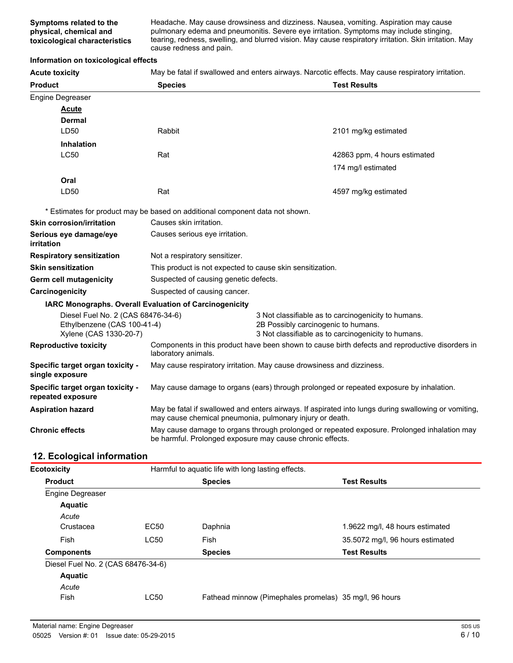Headache. May cause drowsiness and dizziness. Nausea, vomiting. Aspiration may cause pulmonary edema and pneumonitis. Severe eye irritation. Symptoms may include stinging, tearing, redness, swelling, and blurred vision. May cause respiratory irritation. Skin irritation. May cause redness and pain.

#### **Information on toxicological effects**

**Acute toxicity** May be fatal if swallowed and enters airways. Narcotic effects. May cause respiratory irritation.

| <b>Product</b>                                        | <b>Species</b>                                                                                                                                                   |  | <b>Test Results</b>                                 |
|-------------------------------------------------------|------------------------------------------------------------------------------------------------------------------------------------------------------------------|--|-----------------------------------------------------|
| Engine Degreaser                                      |                                                                                                                                                                  |  |                                                     |
| <b>Acute</b>                                          |                                                                                                                                                                  |  |                                                     |
| <b>Dermal</b>                                         |                                                                                                                                                                  |  |                                                     |
| LD50                                                  | Rabbit                                                                                                                                                           |  | 2101 mg/kg estimated                                |
| <b>Inhalation</b>                                     |                                                                                                                                                                  |  |                                                     |
| <b>LC50</b>                                           | Rat                                                                                                                                                              |  | 42863 ppm, 4 hours estimated                        |
|                                                       |                                                                                                                                                                  |  | 174 mg/l estimated                                  |
| Oral                                                  |                                                                                                                                                                  |  |                                                     |
| LD50                                                  | Rat                                                                                                                                                              |  | 4597 mg/kg estimated                                |
|                                                       | * Estimates for product may be based on additional component data not shown.                                                                                     |  |                                                     |
| <b>Skin corrosion/irritation</b>                      | Causes skin irritation.                                                                                                                                          |  |                                                     |
| Serious eye damage/eye<br>irritation                  | Causes serious eye irritation.                                                                                                                                   |  |                                                     |
| <b>Respiratory sensitization</b>                      | Not a respiratory sensitizer.                                                                                                                                    |  |                                                     |
| <b>Skin sensitization</b>                             | This product is not expected to cause skin sensitization.                                                                                                        |  |                                                     |
| Germ cell mutagenicity                                | Suspected of causing genetic defects.                                                                                                                            |  |                                                     |
| Carcinogenicity                                       | Suspected of causing cancer.                                                                                                                                     |  |                                                     |
|                                                       | IARC Monographs. Overall Evaluation of Carcinogenicity                                                                                                           |  |                                                     |
| Diesel Fuel No. 2 (CAS 68476-34-6)                    |                                                                                                                                                                  |  | 3 Not classifiable as to carcinogenicity to humans. |
| Ethylbenzene (CAS 100-41-4)<br>Xylene (CAS 1330-20-7) | 2B Possibly carcinogenic to humans.<br>3 Not classifiable as to carcinogenicity to humans.                                                                       |  |                                                     |
| <b>Reproductive toxicity</b>                          | Components in this product have been shown to cause birth defects and reproductive disorders in<br>laboratory animals.                                           |  |                                                     |
| Specific target organ toxicity -<br>single exposure   | May cause respiratory irritation. May cause drowsiness and dizziness.                                                                                            |  |                                                     |
| Specific target organ toxicity -<br>repeated exposure | May cause damage to organs (ears) through prolonged or repeated exposure by inhalation.                                                                          |  |                                                     |
| <b>Aspiration hazard</b>                              | May be fatal if swallowed and enters airways. If aspirated into lungs during swallowing or vomiting,<br>may cause chemical pneumonia, pulmonary injury or death. |  |                                                     |
| <b>Chronic effects</b>                                | May cause damage to organs through prolonged or repeated exposure. Prolonged inhalation may<br>be harmful. Prolonged exposure may cause chronic effects.         |  |                                                     |

# **12. Ecological information**

| <b>Ecotoxicity</b>                 |                  | Harmful to aquatic life with long lasting effects.     |                                  |
|------------------------------------|------------------|--------------------------------------------------------|----------------------------------|
| <b>Product</b>                     |                  | <b>Species</b>                                         | <b>Test Results</b>              |
| <b>Engine Degreaser</b>            |                  |                                                        |                                  |
| <b>Aquatic</b>                     |                  |                                                        |                                  |
| Acute                              |                  |                                                        |                                  |
| Crustacea                          | EC <sub>50</sub> | Daphnia                                                | 1.9622 mg/l, 48 hours estimated  |
| Fish                               | LC50             | Fish                                                   | 35.5072 mg/l, 96 hours estimated |
| <b>Components</b>                  |                  | <b>Species</b>                                         | <b>Test Results</b>              |
| Diesel Fuel No. 2 (CAS 68476-34-6) |                  |                                                        |                                  |
| <b>Aquatic</b>                     |                  |                                                        |                                  |
| Acute                              |                  |                                                        |                                  |
| Fish                               | LC50             | Fathead minnow (Pimephales promelas) 35 mg/l, 96 hours |                                  |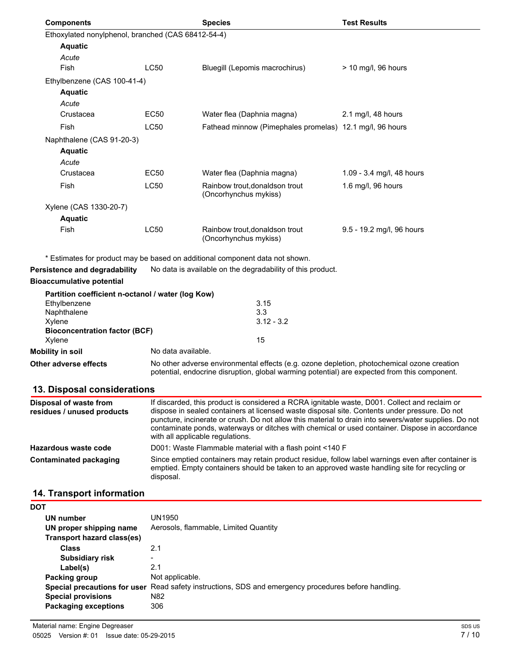| <b>Components</b>                                   |                    | <b>Species</b>                                                                                                                                                                                 | <b>Test Results</b>       |
|-----------------------------------------------------|--------------------|------------------------------------------------------------------------------------------------------------------------------------------------------------------------------------------------|---------------------------|
| Ethoxylated nonylphenol, branched (CAS 68412-54-4)  |                    |                                                                                                                                                                                                |                           |
| <b>Aquatic</b>                                      |                    |                                                                                                                                                                                                |                           |
| Acute                                               |                    |                                                                                                                                                                                                |                           |
| Fish                                                | <b>LC50</b>        | Bluegill (Lepomis macrochirus)                                                                                                                                                                 | > 10 mg/l, 96 hours       |
| Ethylbenzene (CAS 100-41-4)                         |                    |                                                                                                                                                                                                |                           |
| <b>Aquatic</b>                                      |                    |                                                                                                                                                                                                |                           |
| Acute                                               |                    |                                                                                                                                                                                                |                           |
| Crustacea                                           | EC50               | Water flea (Daphnia magna)                                                                                                                                                                     | 2.1 mg/l, 48 hours        |
| Fish                                                | <b>LC50</b>        | Fathead minnow (Pimephales promelas) 12.1 mg/l, 96 hours                                                                                                                                       |                           |
| Naphthalene (CAS 91-20-3)                           |                    |                                                                                                                                                                                                |                           |
| <b>Aquatic</b>                                      |                    |                                                                                                                                                                                                |                           |
| Acute                                               |                    |                                                                                                                                                                                                |                           |
| Crustacea                                           | EC50               | Water flea (Daphnia magna)                                                                                                                                                                     | 1.09 - 3.4 mg/l, 48 hours |
| Fish                                                | <b>LC50</b>        | Rainbow trout, donaldson trout<br>(Oncorhynchus mykiss)                                                                                                                                        | 1.6 mg/l, 96 hours        |
| Xylene (CAS 1330-20-7)                              |                    |                                                                                                                                                                                                |                           |
| <b>Aquatic</b>                                      |                    |                                                                                                                                                                                                |                           |
| Fish                                                | <b>LC50</b>        | Rainbow trout, donaldson trout<br>(Oncorhynchus mykiss)                                                                                                                                        | 9.5 - 19.2 mg/l, 96 hours |
|                                                     |                    | * Estimates for product may be based on additional component data not shown.                                                                                                                   |                           |
| Persistence and degradability                       |                    | No data is available on the degradability of this product.                                                                                                                                     |                           |
| <b>Bioaccumulative potential</b>                    |                    |                                                                                                                                                                                                |                           |
| Partition coefficient n-octanol / water (log Kow)   |                    |                                                                                                                                                                                                |                           |
| Ethylbenzene                                        |                    | 3.15                                                                                                                                                                                           |                           |
| Naphthalene                                         |                    | 3.3                                                                                                                                                                                            |                           |
| Xylene<br><b>Bioconcentration factor (BCF)</b>      |                    | $3.12 - 3.2$                                                                                                                                                                                   |                           |
| Xylene                                              |                    | 15                                                                                                                                                                                             |                           |
| <b>Mobility in soil</b>                             | No data available. |                                                                                                                                                                                                |                           |
| Other adverse effects                               |                    | No other adverse environmental effects (e.g. ozone depletion, photochemical ozone creation<br>potential, endocrine disruption, global warming potential) are expected from this component.     |                           |
| 13. Disposal considerations                         |                    |                                                                                                                                                                                                |                           |
| Disposal of waste from<br>rociduon Lunuond nroduoto |                    | If discarded, this product is considered a RCRA ignitable waste, D001. Collect and reclaim or<br>diennee in sealed containers at licensed waste disposal site. Contents under pressure. Do not |                           |

| residues / unused products | dispose in sealed containers at licensed waste disposal site. Contents under pressure. Do not<br>puncture, incinerate or crush. Do not allow this material to drain into sewers/water supplies. Do not<br>contaminate ponds, waterways or ditches with chemical or used container. Dispose in accordance<br>with all applicable regulations. |
|----------------------------|----------------------------------------------------------------------------------------------------------------------------------------------------------------------------------------------------------------------------------------------------------------------------------------------------------------------------------------------|
| Hazardous waste code       | D001: Waste Flammable material with a flash point <140 F                                                                                                                                                                                                                                                                                     |
| Contaminated packaging     | Since emptied containers may retain product residue, follow label warnings even after container is<br>emptied. Empty containers should be taken to an approved waste handling site for recycling or<br>disposal.                                                                                                                             |

# **14. Transport information**

| <b>DOT</b>                  |                                                                                                      |
|-----------------------------|------------------------------------------------------------------------------------------------------|
| UN number                   | UN1950                                                                                               |
| UN proper shipping name     | Aerosols, flammable, Limited Quantity                                                                |
| Transport hazard class(es)  |                                                                                                      |
| <b>Class</b>                | 2.1                                                                                                  |
| <b>Subsidiary risk</b>      | $\overline{\phantom{0}}$                                                                             |
| Label(s)                    | 2.1                                                                                                  |
| Packing group               | Not applicable.                                                                                      |
|                             | Special precautions for user Read safety instructions, SDS and emergency procedures before handling. |
| <b>Special provisions</b>   | N82                                                                                                  |
| <b>Packaging exceptions</b> | 306                                                                                                  |
|                             |                                                                                                      |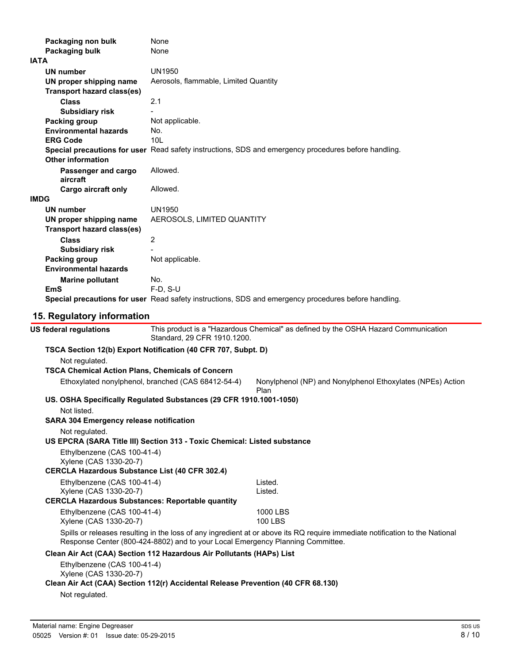| Packaging non bulk                |                     | None                                                               |                                                                                                      |  |
|-----------------------------------|---------------------|--------------------------------------------------------------------|------------------------------------------------------------------------------------------------------|--|
| Packaging bulk                    |                     | None                                                               |                                                                                                      |  |
| <b>IATA</b>                       |                     |                                                                    |                                                                                                      |  |
| <b>UN number</b>                  |                     | <b>UN1950</b>                                                      |                                                                                                      |  |
| UN proper shipping name           |                     | Aerosols, flammable, Limited Quantity                              |                                                                                                      |  |
| <b>Transport hazard class(es)</b> |                     |                                                                    |                                                                                                      |  |
| <b>Class</b>                      |                     | 2.1                                                                |                                                                                                      |  |
| <b>Subsidiary risk</b>            |                     |                                                                    |                                                                                                      |  |
| <b>Packing group</b>              |                     | Not applicable.                                                    |                                                                                                      |  |
| <b>Environmental hazards</b>      |                     | No.                                                                |                                                                                                      |  |
| <b>ERG Code</b>                   |                     | 101                                                                |                                                                                                      |  |
| <b>Other information</b>          |                     |                                                                    | Special precautions for user Read safety instructions, SDS and emergency procedures before handling. |  |
| aircraft                          | Passenger and cargo | Allowed.                                                           |                                                                                                      |  |
| <b>Cargo aircraft only</b>        |                     | Allowed.                                                           |                                                                                                      |  |
| <b>IMDG</b>                       |                     |                                                                    |                                                                                                      |  |
| <b>UN number</b>                  |                     | <b>UN1950</b>                                                      |                                                                                                      |  |
| UN proper shipping name           |                     | AEROSOLS, LIMITED QUANTITY                                         |                                                                                                      |  |
| <b>Transport hazard class(es)</b> |                     |                                                                    |                                                                                                      |  |
| <b>Class</b>                      |                     | $\overline{2}$                                                     |                                                                                                      |  |
| <b>Subsidiary risk</b>            |                     |                                                                    |                                                                                                      |  |
| Packing group                     |                     | Not applicable.                                                    |                                                                                                      |  |
| <b>Environmental hazards</b>      |                     |                                                                    |                                                                                                      |  |
| <b>Marine pollutant</b>           |                     | No.                                                                |                                                                                                      |  |
| <b>EmS</b>                        |                     | F-D, S-U                                                           |                                                                                                      |  |
|                                   |                     |                                                                    | Special precautions for user Read safety instructions, SDS and emergency procedures before handling. |  |
| 15. Regulatory information        |                     |                                                                    |                                                                                                      |  |
| <b>US federal regulations</b>     |                     | Standard, 29 CFR 1910.1200.                                        | This product is a "Hazardous Chemical" as defined by the OSHA Hazard Communication                   |  |
|                                   |                     | TSCA Section 12(b) Export Notification (40 CFR 707, Subpt. D)      |                                                                                                      |  |
| Not regulated.                    |                     |                                                                    |                                                                                                      |  |
|                                   |                     | <b>TSCA Chemical Action Plans, Chemicals of Concern</b>            |                                                                                                      |  |
|                                   |                     | Ethoxylated nonylphenol, branched (CAS 68412-54-4)                 | Nonylphenol (NP) and Nonylphenol Ethoxylates (NPEs) Action<br>Plan                                   |  |
|                                   |                     | US. OSHA Specifically Regulated Substances (29 CFR 1910.1001-1050) |                                                                                                      |  |

Not listed.

**SARA 304 Emergency release notification**

Not regulated.

**US EPCRA (SARA Title III) Section 313 - Toxic Chemical: Listed substance**

Ethylbenzene (CAS 100-41-4) Xylene (CAS 1330-20-7)

#### **CERCLA Hazardous Substance List (40 CFR 302.4)**

| Ethylbenzene (CAS 100-41-4)<br>Xylene (CAS 1330-20-7)<br>CERCLA Hazardous Substances: Reportable quantity | Listed.<br>Listed. |
|-----------------------------------------------------------------------------------------------------------|--------------------|
| Ethylbenzene (CAS 100-41-4)                                                                               | 1000 LBS           |
| Xylene (CAS 1330-20-7)                                                                                    | 100 LBS            |

Spills or releases resulting in the loss of any ingredient at or above its RQ require immediate notification to the National Response Center (800-424-8802) and to your Local Emergency Planning Committee.

# **Clean Air Act (CAA) Section 112 Hazardous Air Pollutants (HAPs) List**

Ethylbenzene (CAS 100-41-4) Xylene (CAS 1330-20-7)

#### **Clean Air Act (CAA) Section 112(r) Accidental Release Prevention (40 CFR 68.130)**

Not regulated.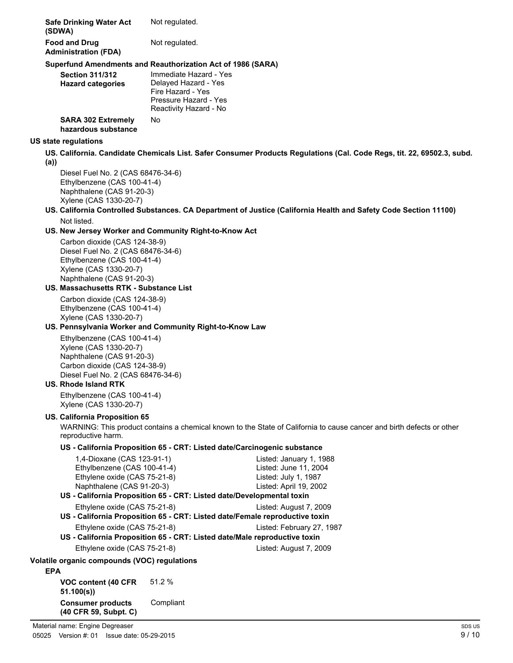| <b>Safe Drinking Water Act</b><br>(SDWA)            | Not regulated. |
|-----------------------------------------------------|----------------|
| <b>Food and Drug</b><br><b>Administration (FDA)</b> | Not regulated. |

# **Superfund Amendments and Reauthorization Act of 1986 (SARA)**

| <b>Section 311/312</b><br><b>Hazard categories</b> | Immediate Hazard - Yes<br>Delayed Hazard - Yes<br>Fire Hazard - Yes<br>Pressure Hazard - Yes<br>Reactivity Hazard - No |
|----------------------------------------------------|------------------------------------------------------------------------------------------------------------------------|
| <b>SARA 302 Extremely</b><br>hazardous substance   | N٥                                                                                                                     |

# **US state regulations**

- **US. California. Candidate Chemicals List. Safer Consumer Products Regulations (Cal. Code Regs, tit. 22, 69502.3, subd.**
- **(a))**

Diesel Fuel No. 2 (CAS 68476-34-6) Ethylbenzene (CAS 100-41-4) Naphthalene (CAS 91-20-3) Xylene (CAS 1330-20-7)

**US. California Controlled Substances. CA Department of Justice (California Health and Safety Code Section 11100)** Not listed.

# **US. New Jersey Worker and Community Right-to-Know Act**

Carbon dioxide (CAS 124-38-9) Diesel Fuel No. 2 (CAS 68476-34-6) Ethylbenzene (CAS 100-41-4) Xylene (CAS 1330-20-7) Naphthalene (CAS 91-20-3)

#### **US. Massachusetts RTK - Substance List**

Carbon dioxide (CAS 124-38-9) Ethylbenzene (CAS 100-41-4) Xylene (CAS 1330-20-7)

#### **US. Pennsylvania Worker and Community Right-to-Know Law**

Ethylbenzene (CAS 100-41-4) Xylene (CAS 1330-20-7) Naphthalene (CAS 91-20-3) Carbon dioxide (CAS 124-38-9) Diesel Fuel No. 2 (CAS 68476-34-6)

#### **US. Rhode Island RTK**

Ethylbenzene (CAS 100-41-4) Xylene (CAS 1330-20-7)

# **US. California Proposition 65**

WARNING: This product contains a chemical known to the State of California to cause cancer and birth defects or other reproductive harm.

# **US - California Proposition 65 - CRT: Listed date/Carcinogenic substance**

| 1,4-Dioxane (CAS 123-91-1)                                                  | Listed: January 1, 1988   |
|-----------------------------------------------------------------------------|---------------------------|
| Ethylbenzene (CAS 100-41-4)                                                 | Listed: June 11, 2004     |
| Ethylene oxide (CAS 75-21-8)                                                | Listed: July 1, 1987      |
| Naphthalene (CAS 91-20-3)                                                   | Listed: April 19, 2002    |
| US - California Proposition 65 - CRT: Listed date/Developmental toxin       |                           |
| Ethylene oxide (CAS 75-21-8)                                                | Listed: August 7, 2009    |
| US - California Proposition 65 - CRT: Listed date/Female reproductive toxin |                           |
| Ethylene oxide (CAS 75-21-8)                                                | Listed: February 27, 1987 |
| US - California Proposition 65 - CRT: Listed date/Male reproductive toxin   |                           |
| Ethylene oxide (CAS 75-21-8)                                                | Listed: August 7, 2009    |
| Volatile organic compounds (VOC) regulations                                |                           |
| <b>EPA</b>                                                                  |                           |
| $\mathbf{17.60}$ $\mathbf{17.700}$ $\mathbf{17.700}$                        |                           |

**VOC content (40 CFR 51.100(s))** 51.2 % **Consumer products** Compliant **(40 CFR 59, Subpt. C)**